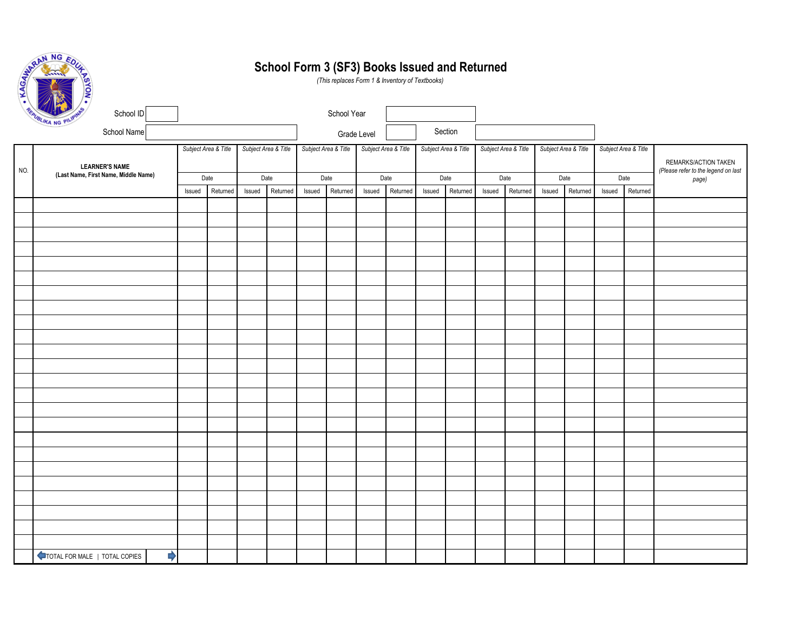| NG EL<br>gA           |  |
|-----------------------|--|
| KAGAN                 |  |
| REPUBLIKA<br>PILIPINA |  |

## **School Form 3 (SF3) Books Issued and Returned**

*(This replaces Form 1 & Inventory of Textbooks)*

|                                             | REAVAIL NG PILIPINES<br>School ID  |                      |          |                      |          |                      | School Year |                      |          |                      |          |                      |          |                      |          |                      |                                              |                      |
|---------------------------------------------|------------------------------------|----------------------|----------|----------------------|----------|----------------------|-------------|----------------------|----------|----------------------|----------|----------------------|----------|----------------------|----------|----------------------|----------------------------------------------|----------------------|
| School Name                                 |                                    |                      |          |                      |          |                      | Grade Level |                      |          | Section              |          |                      |          |                      |          |                      |                                              |                      |
| <b>LEARNER'S NAME</b>                       |                                    | Subject Area & Title |          | Subject Area & Title |          | Subject Area & Title |             | Subject Area & Title |          | Subject Area & Title |          | Subject Area & Title |          | Subject Area & Title |          | Subject Area & Title |                                              | REMARKS/ACTION TAKEN |
| NO.<br>(Last Name, First Name, Middle Name) | Date                               |                      | Date     |                      |          | Date                 | Date        |                      | Date     |                      | Date     |                      | Date     |                      |          | Date                 | (Please refer to the legend on last<br>page) |                      |
|                                             |                                    | Issued               | Returned | Issued               | Returned | Issued               | Returned    | Issued               | Returned | Issued               | Returned | Issued               | Returned | Issued               | Returned | Issued               | Returned                                     |                      |
|                                             |                                    |                      |          |                      |          |                      |             |                      |          |                      |          |                      |          |                      |          |                      |                                              |                      |
|                                             |                                    |                      |          |                      |          |                      |             |                      |          |                      |          |                      |          |                      |          |                      |                                              |                      |
|                                             |                                    |                      |          |                      |          |                      |             |                      |          |                      |          |                      |          |                      |          |                      |                                              |                      |
|                                             |                                    |                      |          |                      |          |                      |             |                      |          |                      |          |                      |          |                      |          |                      |                                              |                      |
|                                             |                                    |                      |          |                      |          |                      |             |                      |          |                      |          |                      |          |                      |          |                      |                                              |                      |
|                                             |                                    |                      |          |                      |          |                      |             |                      |          |                      |          |                      |          |                      |          |                      |                                              |                      |
|                                             |                                    |                      |          |                      |          |                      |             |                      |          |                      |          |                      |          |                      |          |                      |                                              |                      |
|                                             |                                    |                      |          |                      |          |                      |             |                      |          |                      |          |                      |          |                      |          |                      |                                              |                      |
|                                             |                                    |                      |          |                      |          |                      |             |                      |          |                      |          |                      |          |                      |          |                      |                                              |                      |
|                                             |                                    |                      |          |                      |          |                      |             |                      |          |                      |          |                      |          |                      |          |                      |                                              |                      |
|                                             |                                    |                      |          |                      |          |                      |             |                      |          |                      |          |                      |          |                      |          |                      |                                              |                      |
|                                             |                                    |                      |          |                      |          |                      |             |                      |          |                      |          |                      |          |                      |          |                      |                                              |                      |
|                                             |                                    |                      |          |                      |          |                      |             |                      |          |                      |          |                      |          |                      |          |                      |                                              |                      |
|                                             |                                    |                      |          |                      |          |                      |             |                      |          |                      |          |                      |          |                      |          |                      |                                              |                      |
|                                             |                                    |                      |          |                      |          |                      |             |                      |          |                      |          |                      |          |                      |          |                      |                                              |                      |
|                                             |                                    |                      |          |                      |          |                      |             |                      |          |                      |          |                      |          |                      |          |                      |                                              |                      |
|                                             |                                    |                      |          |                      |          |                      |             |                      |          |                      |          |                      |          |                      |          |                      |                                              |                      |
|                                             |                                    |                      |          |                      |          |                      |             |                      |          |                      |          |                      |          |                      |          |                      |                                              |                      |
|                                             |                                    |                      |          |                      |          |                      |             |                      |          |                      |          |                      |          |                      |          |                      |                                              |                      |
|                                             |                                    |                      |          |                      |          |                      |             |                      |          |                      |          |                      |          |                      |          |                      |                                              |                      |
|                                             |                                    |                      |          |                      |          |                      |             |                      |          |                      |          |                      |          |                      |          |                      |                                              |                      |
|                                             |                                    |                      |          |                      |          |                      |             |                      |          |                      |          |                      |          |                      |          |                      |                                              |                      |
|                                             |                                    |                      |          |                      |          |                      |             |                      |          |                      |          |                      |          |                      |          |                      |                                              |                      |
|                                             | ⋫<br>TOTAL FOR MALE   TOTAL COPIES |                      |          |                      |          |                      |             |                      |          |                      |          |                      |          |                      |          |                      |                                              |                      |